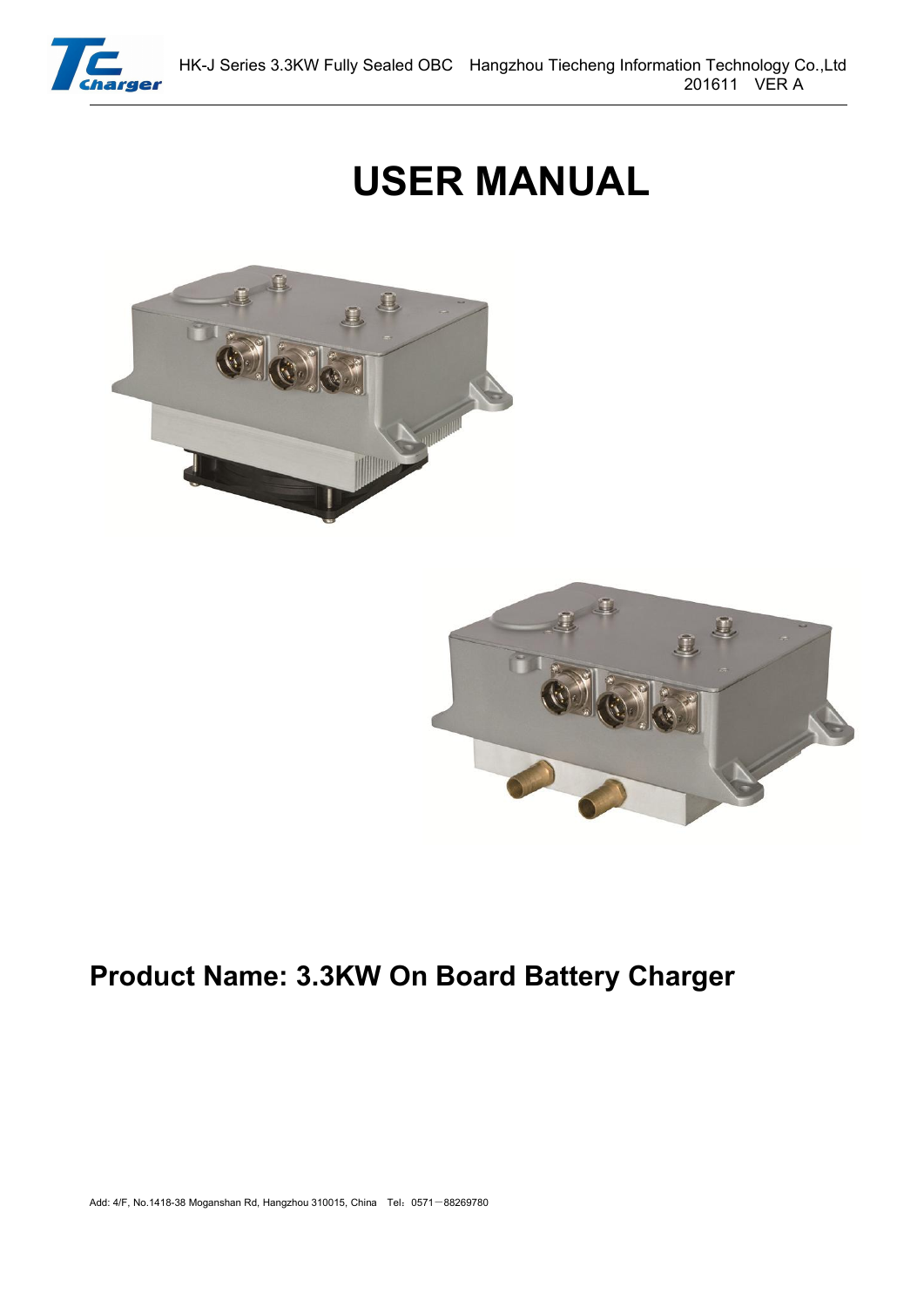

# **USER MANUAL**





# **Product Name: 3.3KW On Board Battery Charger**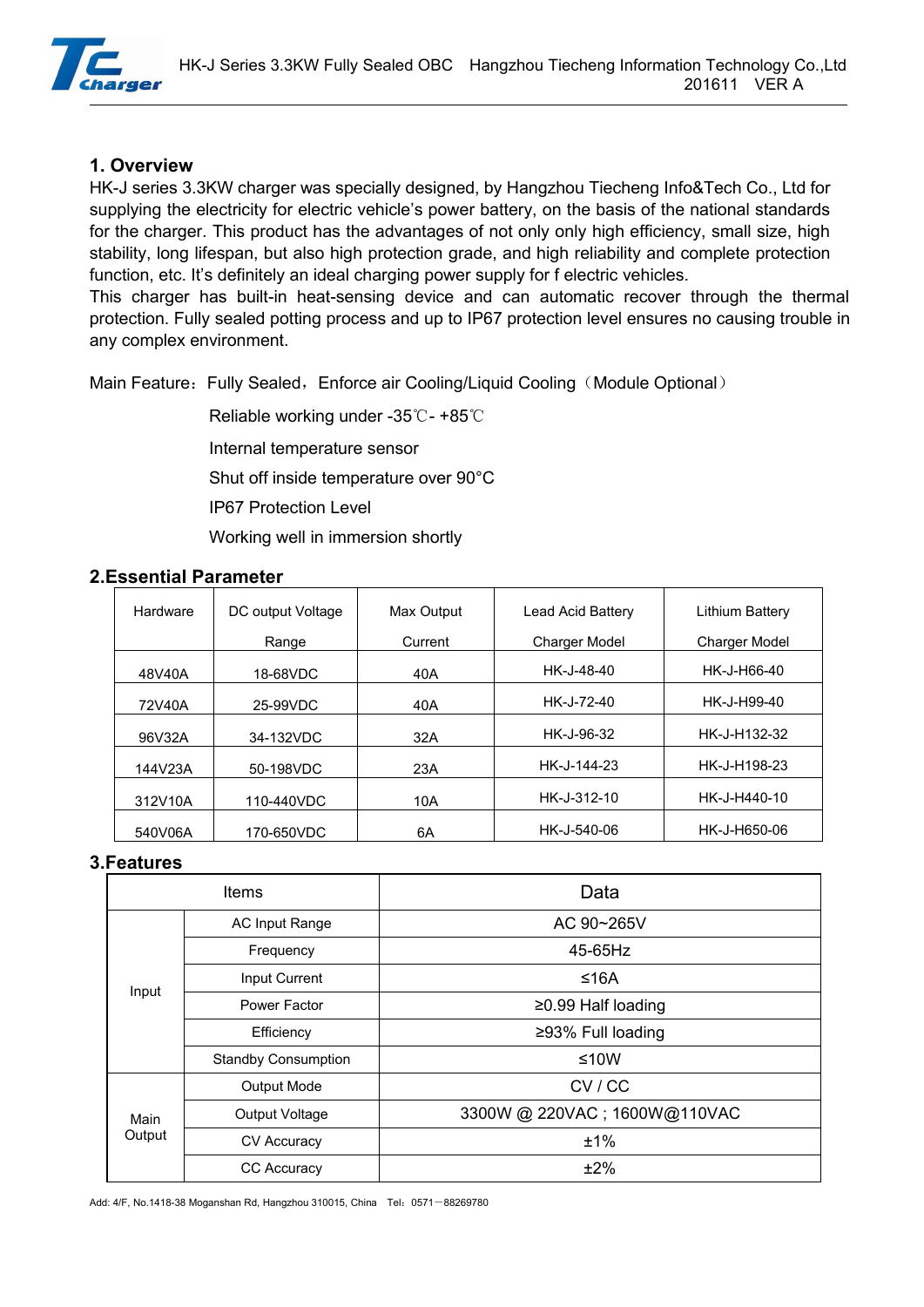

#### **1. Overview**

HK-J series 3.3KW charger was specially designed, by Hangzhou Tiecheng Info&Tech Co., Ltd for supplying the electricity for electric vehicle's power battery, on the basis of the national standards for the charger. This product has the advantages of not only only high efficiency, small size, high stability, long lifespan, but also high protection grade, and high reliability and complete protection function, etc. It's definitely an ideal charging power supply for f electric vehicles.

This charger has built-in heat-sensing device and can automatic recover through the thermal protection. Fully sealed potting process and up to IP67 protection level ensures no causing trouble in any complex environment.

Main Feature: Fully Sealed, Enforce air Cooling/Liquid Cooling (Module Optional)

Reliable working under -35℃- +85℃ Internal temperature sensor Shut off inside temperature over 90°C IP67 Protection Level Working well in immersion shortly

#### **2.Essential Parameter**

| Hardware |         | DC output Voltage | Max Output | Lead Acid Battery    | Lithium Battery      |  |
|----------|---------|-------------------|------------|----------------------|----------------------|--|
|          |         | Range             | Current    | <b>Charger Model</b> | <b>Charger Model</b> |  |
|          | 48V40A  | 18-68VDC          | 40A        | HK-J-48-40           | HK-J-H66-40          |  |
|          | 72V40A  | 25-99VDC          | 40A        | HK-J-72-40           | HK-J-H99-40          |  |
|          | 96V32A  | 34-132VDC         | 32A        | HK-J-96-32           | HK-J-H132-32         |  |
|          | 144V23A | 50-198VDC         | 23A        | HK-J-144-23          | HK-J-H198-23         |  |
|          | 312V10A | 110-440VDC        | 10A        | HK-J-312-10          | HK-J-H440-10         |  |
|          | 540V06A | 170-650VDC        | 6A         | HK-J-540-06          | HK-J-H650-06         |  |

#### **3.Features**

| <b>Items</b> |                            | Data                         |  |
|--------------|----------------------------|------------------------------|--|
|              | AC Input Range             | AC 90~265V                   |  |
|              | Frequency                  | 45-65Hz                      |  |
|              | Input Current              | ≤16A                         |  |
| Input        | Power Factor               | $≥0.99$ Half loading         |  |
|              | Efficiency                 | ≥93% Full loading            |  |
|              | <b>Standby Consumption</b> | $≤10W$                       |  |
|              | Output Mode                | CV/CC                        |  |
| Main         | Output Voltage             | 3300W @ 220VAC; 1600W@110VAC |  |
| Output       | CV Accuracy                | ±1%                          |  |
|              | <b>CC Accuracy</b>         | ±2%                          |  |

Add: 4/F, No.1418-38 Moganshan Rd, Hangzhou 310015, China Tel: 0571-88269780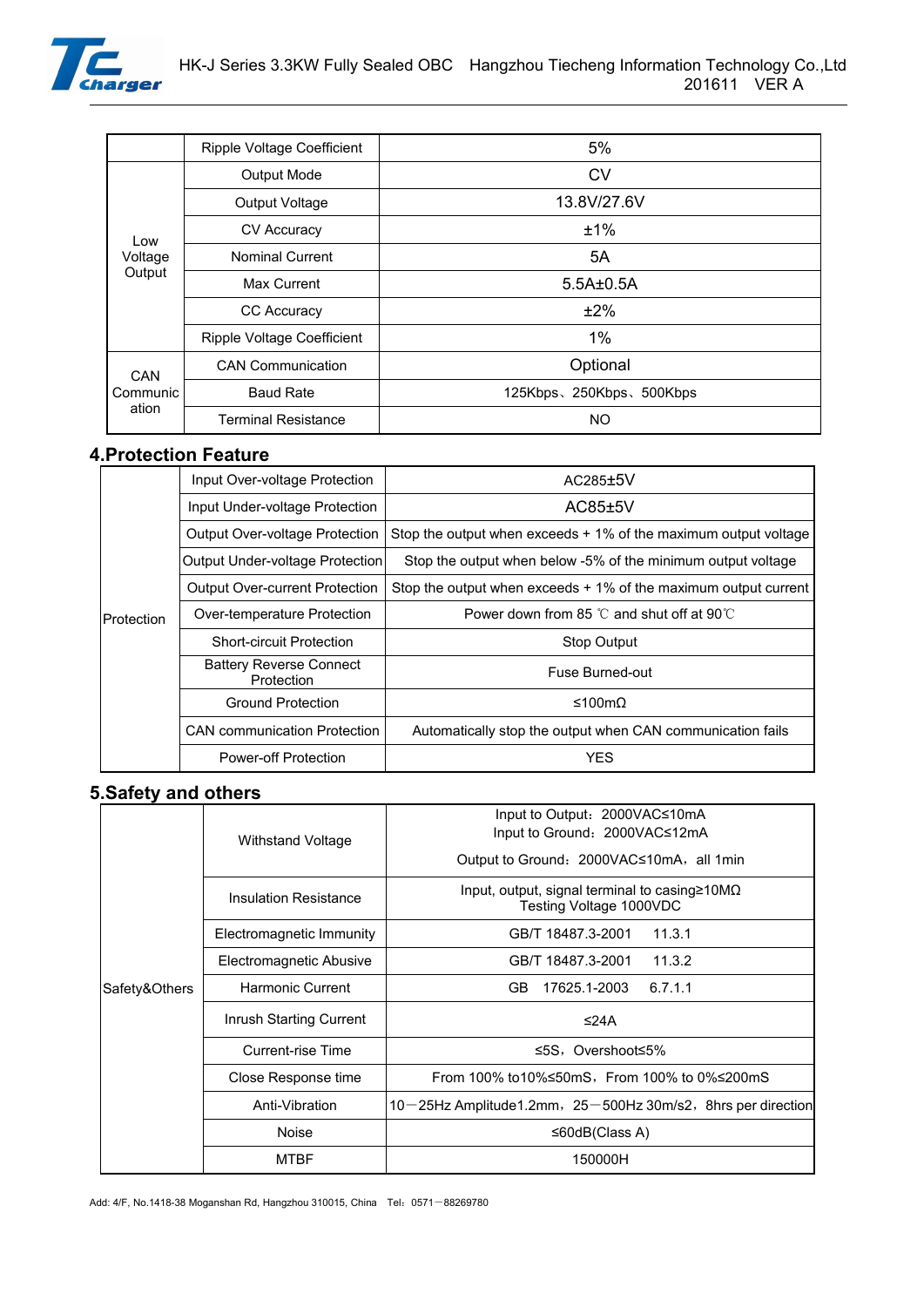

|                   | <b>Ripple Voltage Coefficient</b> | 5%                      |  |
|-------------------|-----------------------------------|-------------------------|--|
|                   | Output Mode                       | <b>CV</b>               |  |
|                   | Output Voltage                    | 13.8V/27.6V             |  |
| Low               | <b>CV Accuracy</b>                | ±1%                     |  |
| Voltage           | <b>Nominal Current</b>            | 5A                      |  |
| Output            | Max Current                       | $5.5A\pm0.5A$           |  |
|                   | CC Accuracy                       | ±2%                     |  |
|                   | <b>Ripple Voltage Coefficient</b> | $1\%$                   |  |
| CAN               | <b>CAN Communication</b>          | Optional                |  |
| Communic<br>ation | <b>Baud Rate</b>                  | 125Kbps、250Kbps、500Kbps |  |
|                   | <b>Terminal Resistance</b>        | <b>NO</b>               |  |

### **4.Protection Feature**

|            | Input Over-voltage Protection                | $AC285\pm5V$                                                      |  |
|------------|----------------------------------------------|-------------------------------------------------------------------|--|
|            | Input Under-voltage Protection               | AC85±5V                                                           |  |
|            | <b>Output Over-voltage Protection</b>        | Stop the output when exceeds $+1\%$ of the maximum output voltage |  |
|            | Output Under-voltage Protection              | Stop the output when below -5% of the minimum output voltage      |  |
|            | <b>Output Over-current Protection</b>        | Stop the output when exceeds $+1\%$ of the maximum output current |  |
| Protection | Over-temperature Protection                  | Power down from 85 $\degree$ C and shut off at 90 $\degree$ C     |  |
|            | <b>Short-circuit Protection</b>              | Stop Output                                                       |  |
|            | <b>Battery Reverse Connect</b><br>Protection | Fuse Burned-out                                                   |  |
|            | <b>Ground Protection</b>                     | ≤100mΩ                                                            |  |
|            | <b>CAN</b> communication Protection          | Automatically stop the output when CAN communication fails        |  |
|            | <b>Power-off Protection</b>                  | <b>YES</b>                                                        |  |
|            |                                              |                                                                   |  |

# **5.Safety and others**

|               | Withstand Voltage            | Input to Output: 2000VAC≤10mA<br>Input to Ground: 2000VAC≤12mA                       |  |  |
|---------------|------------------------------|--------------------------------------------------------------------------------------|--|--|
|               |                              | Output to Ground: 2000VAC≤10mA, all 1min                                             |  |  |
|               | <b>Insulation Resistance</b> | Input, output, signal terminal to casing $\geq 10M\Omega$<br>Testing Voltage 1000VDC |  |  |
|               | Electromagnetic Immunity     | GB/T 18487.3-2001<br>11.3.1                                                          |  |  |
|               | Electromagnetic Abusive      | GB/T 18487.3-2001<br>11.3.2                                                          |  |  |
| Safety&Others | Harmonic Current             | 17625.1-2003<br>6.7.1.1<br>GB.                                                       |  |  |
|               | Inrush Starting Current      | ≤24A                                                                                 |  |  |
|               | Current-rise Time            | ≤5S, Overshoot≤5%                                                                    |  |  |
|               | Close Response time          | From 100% to10%≤50mS, From 100% to 0%≤200mS                                          |  |  |
|               | Anti-Vibration               | $10-25$ Hz Amplitude1.2mm, $25-500$ Hz 30m/s2, 8hrs per direction                    |  |  |
|               | Noise                        | $\leq 60$ dB(Class A)                                                                |  |  |
|               | <b>MTBF</b>                  | 150000H                                                                              |  |  |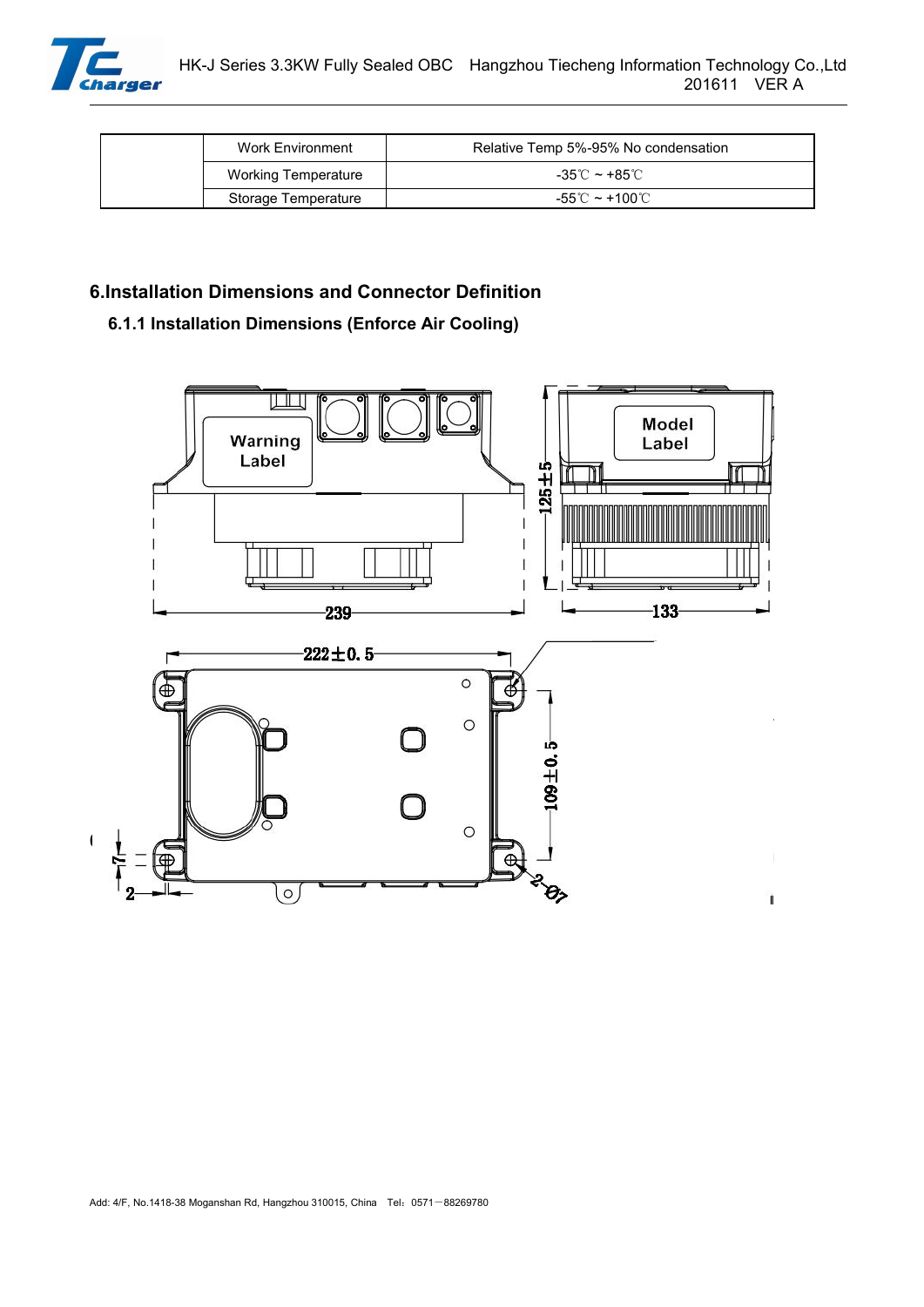

| Work Environment    | Relative Temp 5%-95% No condensation |  |
|---------------------|--------------------------------------|--|
| Working Temperature | -35℃ ~ +85℃                          |  |
| Storage Temperature | -55℃ ~ +100℃                         |  |

# **6.Installation Dimensions and Connector Definition**

# **6.1.1 Installation Dimensions (Enforce Air Cooling)**

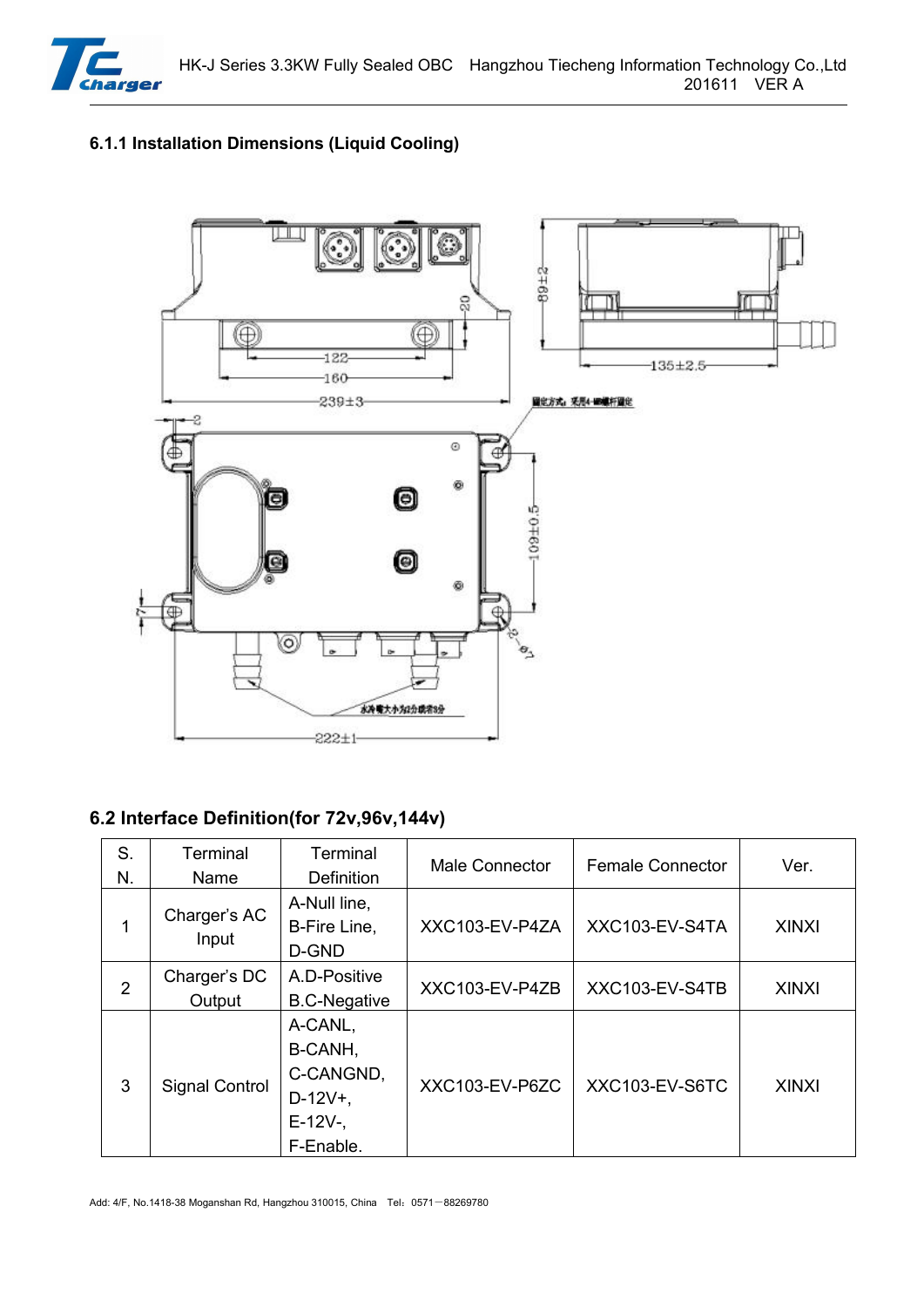

# **6.1.1 Installation Dimensions (Liquid Cooling)**



# **6.2 Interface Definition(for 72v,96v,144v)**

| S.             | Terminal               | Terminal                                                               | Male Connector | <b>Female Connector</b> | Ver.         |
|----------------|------------------------|------------------------------------------------------------------------|----------------|-------------------------|--------------|
| N.             | Name<br>Charger's AC   | <b>Definition</b><br>A-Null line,                                      |                |                         |              |
| 1              | Input                  | B-Fire Line,<br>D-GND                                                  | XXC103-EV-P4ZA | XXC103-EV-S4TA          | <b>XINXI</b> |
| $\overline{2}$ | Charger's DC<br>Output | A.D-Positive<br><b>B.C-Negative</b>                                    | XXC103-EV-P4ZB | XXC103-EV-S4TB          | <b>XINXI</b> |
| 3              | <b>Signal Control</b>  | A-CANL,<br>B-CANH,<br>C-CANGND,<br>$D-12V+$ ,<br>$E-12V-$<br>F-Enable. | XXC103-EV-P6ZC | XXC103-EV-S6TC          | <b>XINXI</b> |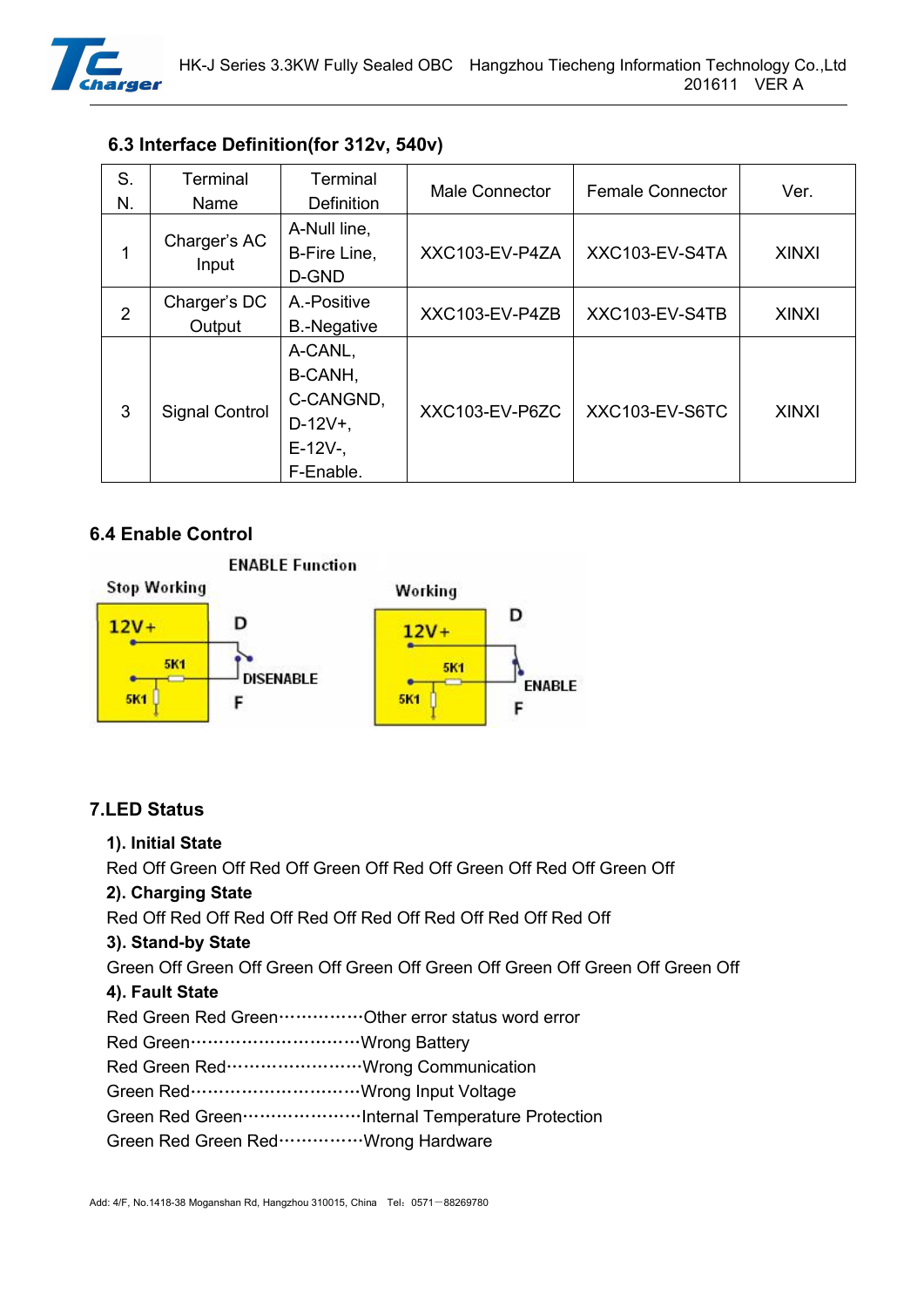

|  | 6.3 Interface Definition (for 312v, 540v) |  |  |
|--|-------------------------------------------|--|--|
|--|-------------------------------------------|--|--|

| S.<br>N.       | Terminal<br>Name       | Terminal<br><b>Definition</b>                                          | Male Connector | <b>Female Connector</b> | Ver.         |
|----------------|------------------------|------------------------------------------------------------------------|----------------|-------------------------|--------------|
| 1              | Charger's AC<br>Input  | A-Null line,<br>B-Fire Line,<br>D-GND                                  | XXC103-EV-P4ZA | XXC103-EV-S4TA          | <b>XINXI</b> |
| $\overline{2}$ | Charger's DC<br>Output | A.-Positive<br><b>B.-Negative</b>                                      | XXC103-EV-P4ZB | XXC103-EV-S4TB          | <b>XINXI</b> |
| 3              | <b>Signal Control</b>  | A-CANL,<br>B-CANH,<br>C-CANGND,<br>$D-12V+$ ,<br>$E-12V-$<br>F-Enable. | XXC103-EV-P6ZC | XXC103-EV-S6TC          | <b>XINXI</b> |

# **6.4 Enable Control**



# **7.LED Status**

#### **1). Initial State**

Red Off Green Off Red Off Green Off Red Off Green Off Red Off Green Off

# **2). Charging State**

Red Off Red Off Red Off Red Off Red Off Red Off Red Off

#### **3). Stand-by State**

Green Off Green Off Green Off Green Off Green Off Green Off Green Off Green Off

#### **4). Fault State**

Red Green Red Green……………Other error status word error

Red Green…………………………Wrong Battery

- Red Green Red……………………Wrong Communication
- Green Red…………………………Wrong Input Voltage
- Green Red Green…………………Internal Temperature Protection
- Green Red Green Red……………Wrong Hardware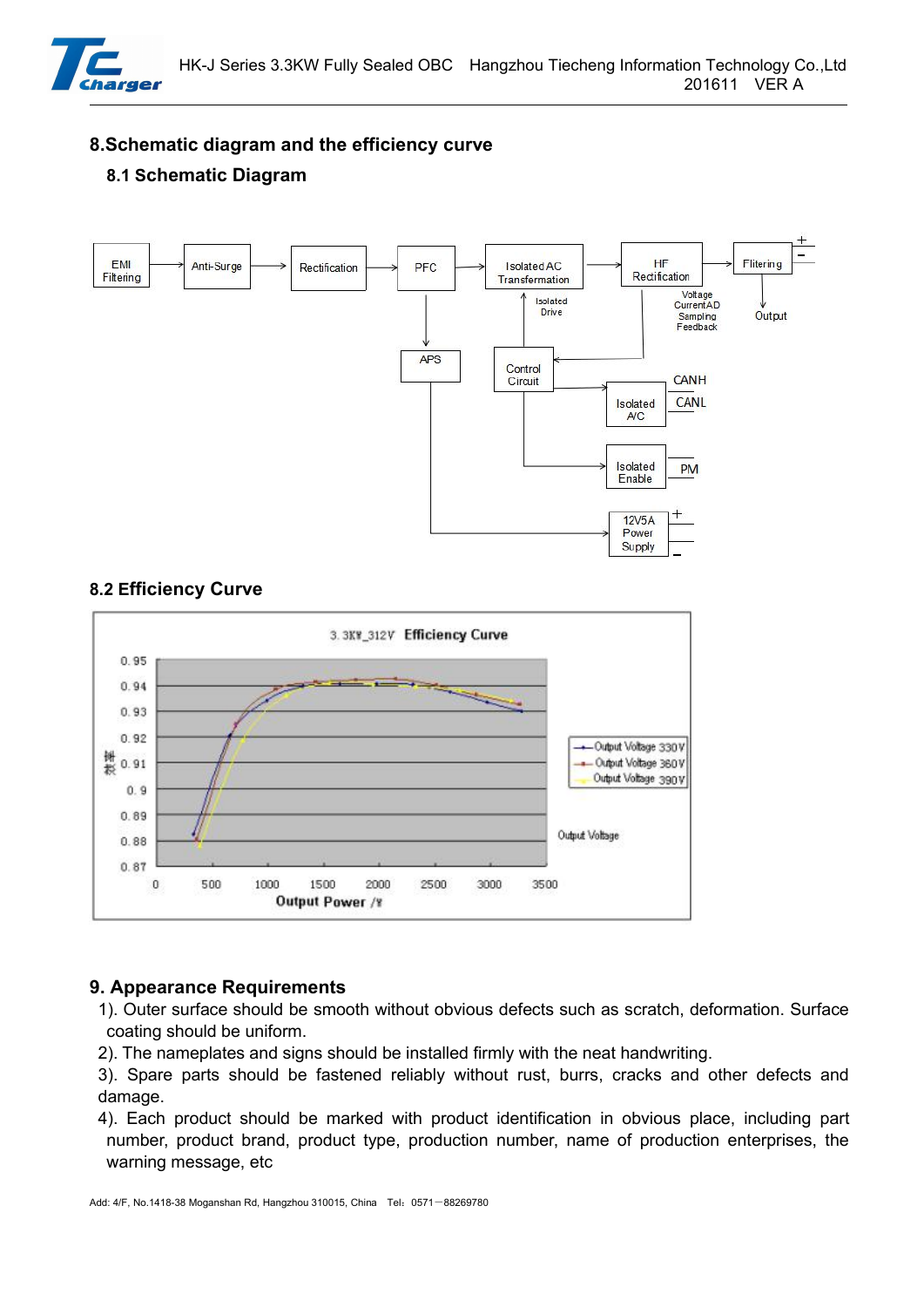

**8.Schematic diagram and the efficiency curve**

# **8.1 Schematic Diagram**







# **9. Appearance Requirements**

- 1). Outer surface should be smooth without obvious defects such as scratch, deformation. Surface
- coating should be uniform.<br>2). The nameplates and signs should be installed firmly with the neat handwriting.
- 3). Spare parts should be fastened reliably without rust, burrs, cracks and other defects and damage.
- 4). Each product should be marked with product identification in obvious place, including part number, product brand, product type, production number, name of production enterprises, the warning message, etc